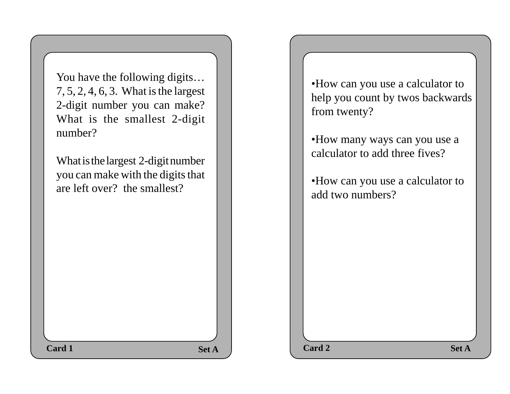You have the following digits… 7, 5, 2, 4, 6, 3. What is the largest 2-digit number you can make? What is the smallest 2-digit number?

What is the largest 2-digit number you can make with the digits that are left over? the smallest?

•How can you use a calculator to help you count by twos backwards from twenty?

•How many ways can you use a calculator to add three fives?

•How can you use a calculator to add two numbers?

 $\text{Set A}$  **Set A**  $\qquad$  **Card 2 Set A Card 1 Card 2 Card 2 Card 2 Card 2**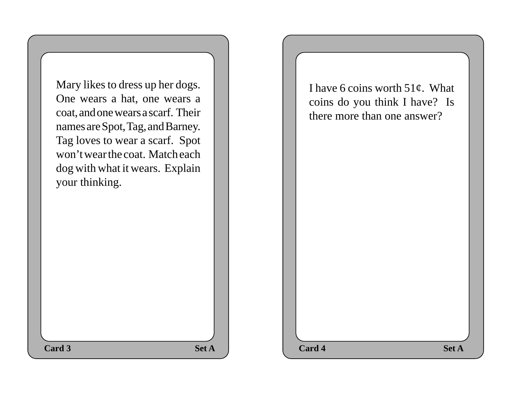Mary likes to dress up her dogs. One wears a hat, one wears a coat, and one wears a scarf. Their names are Spot, Tag, and Barney. Tag loves to wear a scarf. Spot won't wear the coat. Match each dog with what it wears. Explain your thinking.

I have 6 coins worth  $51¢$ . What coins do you think I have? Is there more than one answer?

**Set A**  $\qquad$  **Card 4** Set A **Card 3 Card 4 Card 4 Card 4 Card 4**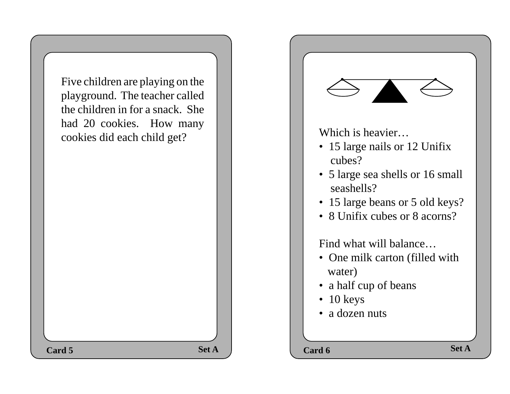| Five children are playing on the<br>playground. The teacher called<br>the children in for a snack. She<br>had 20 cookies. How many<br>cookies did each child get? |              | Which is heavier<br>• 15 large nails or 12 Unifix<br>cubes?<br>• 5 large sea shells or 16 small<br>seashells?<br>• 15 large beans or 5 old keys?<br>• 8 Unifix cubes or 8 acorns?<br>Find what will balance<br>• One milk carton (filled with<br>water)<br>• a half cup of beans<br>$\bullet$ 10 keys<br>• a dozen nuts | <b>Set A</b> |
|-------------------------------------------------------------------------------------------------------------------------------------------------------------------|--------------|-------------------------------------------------------------------------------------------------------------------------------------------------------------------------------------------------------------------------------------------------------------------------------------------------------------------------|--------------|
| Card 5                                                                                                                                                            | <b>Set A</b> | Card 6                                                                                                                                                                                                                                                                                                                  |              |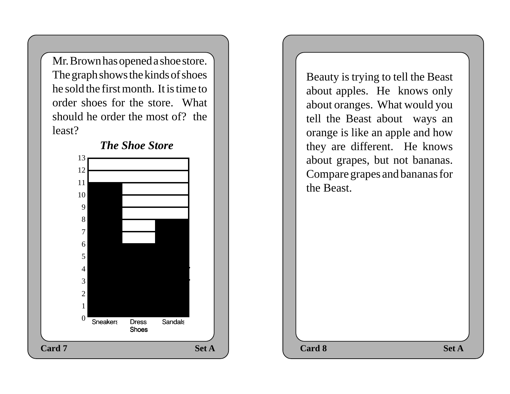Mr. Brown has opened a shoe store. The graph shows the kinds of shoes he sold the first month. It is time to order shoes for the store. What should he order the most of? the least?



Beauty is trying to tell the Beast about apples. He knows only about oranges. What would you tell the Beast about ways an orange is like an apple and how they are different. He knows about grapes, but not bananas. Compare grapes and bananas for the Beast.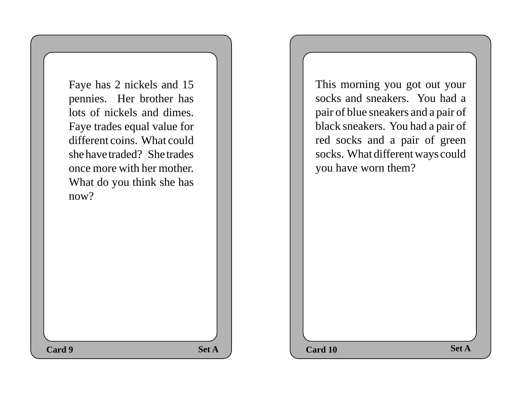Faye has 2 nickels and 15 pennies. Her brother has lots of nickels and dimes. Faye trades equal value for different coins. What could she have traded? She trades once more with her mother. What do you think she has now?

This morning you got out your socks and sneakers. You had a pair of blue sneakers and a pair of black sneakers. You had a pair of red socks and a pair of green socks. What different ways could you have worn them?

**Set A Set A Card 10 Set A Card 9 Card 10 Card 10 Card 10**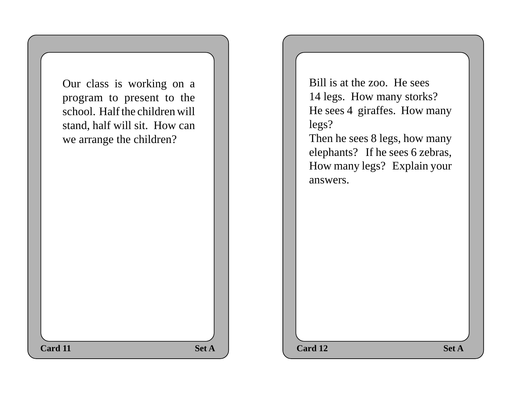| Our class is working on a<br>program to present to the<br>school. Half the children will<br>stand, half will sit. How can<br>we arrange the children?<br><b>Card 11</b> | <b>Set A</b> | <b>Bill</b><br>14 <sub>1</sub><br>He s<br>legs<br>The<br>elep<br>Hoy<br>ansy<br>Card 12 |
|-------------------------------------------------------------------------------------------------------------------------------------------------------------------------|--------------|-----------------------------------------------------------------------------------------|
|                                                                                                                                                                         |              |                                                                                         |

Bill is at the zoo. He sees 14 legs. How many storks? He sees 4 giraffes. How many legs?

Then he sees 8 legs, how many elephants? If he sees 6 zebras, How many legs? Explain your answers.

**Card 12** Set A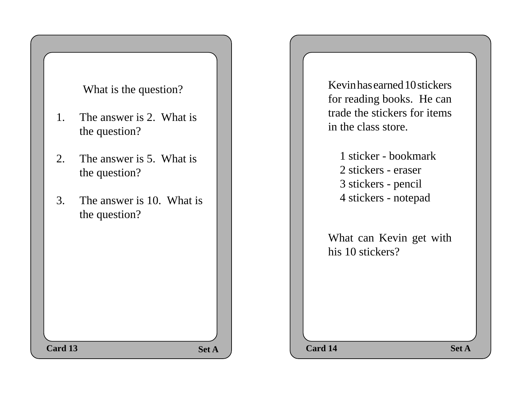### What is the question?

- 1. The answer is 2. What is the question?
- 2. The answer is 5. What is the question?
- 3. The answer is 10. What is the question?

Kevin has earned 10 stickers for reading books. He can trade the stickers for items in the class store.

1 sticker - bookmark 2 stickers - eraser 3 stickers - pencil 4 stickers - notepad

What can Kevin get with his 10 stickers?

**Set A Set A Set A Set A Set A Set A Card 13 Card 14 Card 14 Card 14**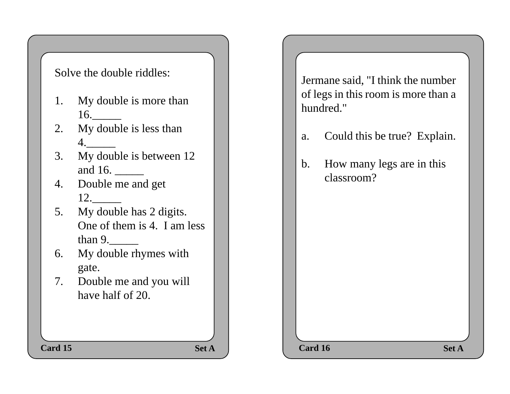### Solve the double riddles:

- 1. My double is more than 16.\_\_\_\_\_
- 2. My double is less than 4.\_\_\_\_\_
- 3. My double is between 12 and 16.
- 4. Double me and get 12.\_\_\_\_\_
- 5. My double has 2 digits. One of them is 4. I am less than 9.
- 6. My double rhymes with gate.
- 7. Double me and you will have half of 20.

Jermane said, "I think the number of legs in this room is more than a hundred."

- a. Could this be true? Explain.
- b. How many legs are in this classroom?

**Set A**  $\qquad$  **Card 16** Set A **Card 15 Card 16 Card 16 Card 16 Card 16**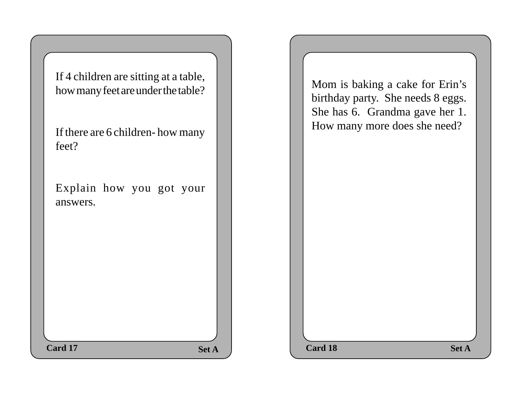| If 4 children are sitting at a table,<br>how many feet are under the table?<br>If there are 6 children-how many<br>feet? | Mom is baking a cake for Erin's<br>birthday party. She needs 8 eggs.<br>She has 6. Grandma gave her 1.<br>How many more does she need? |
|--------------------------------------------------------------------------------------------------------------------------|----------------------------------------------------------------------------------------------------------------------------------------|
| Explain how you got your<br>answers.                                                                                     |                                                                                                                                        |
| Card 17<br><b>Set A</b>                                                                                                  | <b>Card 18</b><br><b>Set A</b>                                                                                                         |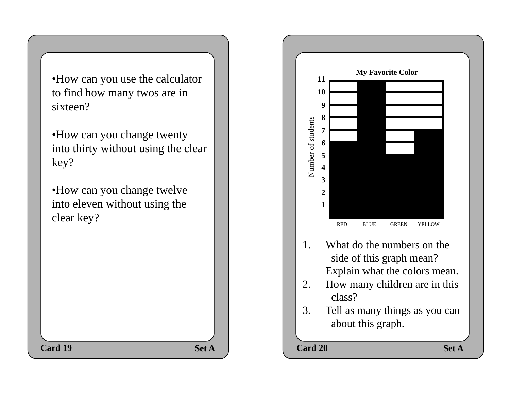•How can you use the calculator to find how many twos are in sixteen?

•How can you change twenty into thirty without using the clear key?

•How can you change twelve into eleven without using the clear key?

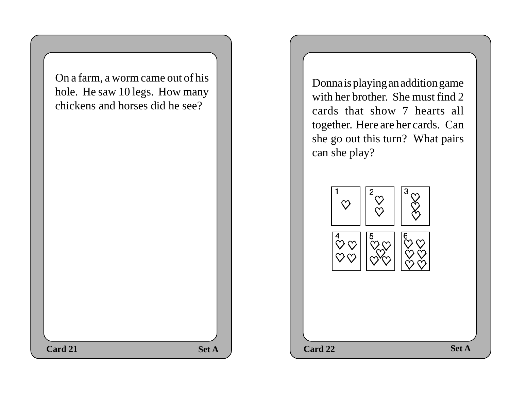On a farm, a worm came out of his hole. He saw 10 legs. How many chickens and horses did he see?

Donna is playing an addition game with her brother. She must find 2 cards that show 7 hearts all together. Here are her cards. Can she go out this turn? What pairs can she play?

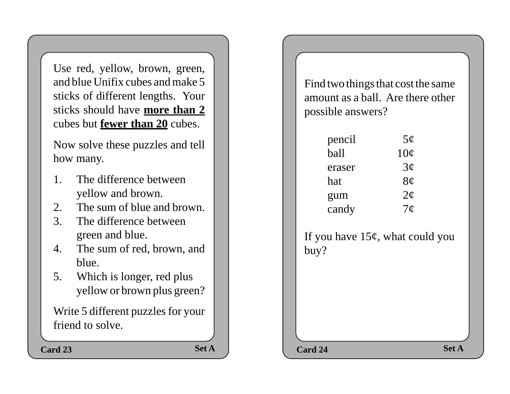Use red, yellow, brown, green, and blue Unifix cubes and make 5 sticks of different lengths. Your sticks should have **more than 2** cubes but **fewer than 20** cubes.

Now solve these puzzles and tell how many.

- 1. The difference between yellow and brown.
- 2. The sum of blue and brown.
- 3. The difference between green and blue.
- 4. The sum of red, brown, and blue.
- 5. Which is longer, red plus yellow or brown plus green?

Write 5 different puzzles for your friend to solve.

Card 23 Set A Set A Card 24

Find two things that cost the same amount as a ball. Are there other possible answers?

| pencil | 5 <sub>c</sub>  |
|--------|-----------------|
| ball   | $10\mathcal{C}$ |
| eraser | $3\sigma$       |
| hat    | 8¢              |
| gum    | $2\phi$         |
| candy  | 7 <sub>c</sub>  |

If you have  $15¢$ , what could you buy?

Set A Set A Set A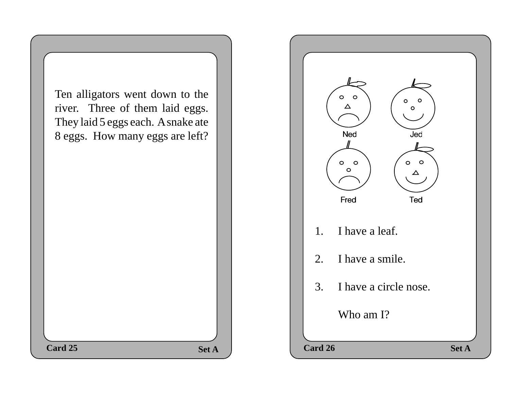| Ten alligators went down to the    |              |
|------------------------------------|--------------|
|                                    |              |
| river. Three of them laid eggs.    |              |
| They laid 5 eggs each. A snake ate |              |
| 8 eggs. How many eggs are left?    |              |
|                                    |              |
|                                    |              |
|                                    |              |
|                                    |              |
|                                    |              |
|                                    |              |
|                                    |              |
|                                    |              |
|                                    |              |
|                                    |              |
|                                    |              |
|                                    |              |
|                                    |              |
|                                    |              |
|                                    |              |
|                                    |              |
|                                    |              |
|                                    |              |
| Card 25                            | <b>Set A</b> |
|                                    |              |

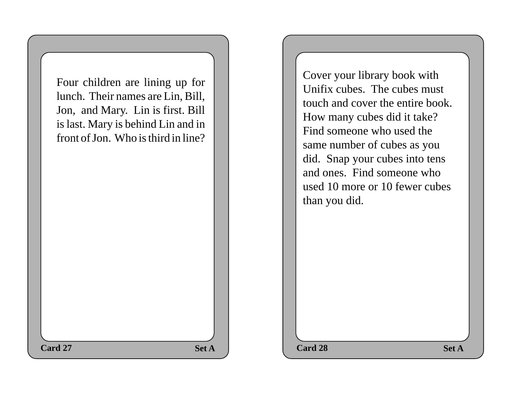Four children are lining up for lunch. Their names are Lin, Bill, Jon, and Mary. Lin is first. Bill is last. Mary is behind Lin and in front of Jon. Who is third in line?

Cover your library book with Unifix cubes. The cubes must touch and cover the entire book. How many cubes did it take? Find someone who used the same number of cubes as you did. Snap your cubes into tens and ones. Find someone who used 10 more or 10 fewer cubes than you did.

**Set A**  $\qquad$  **Card 28** Set A

**Card 27** Set A Set A Card 28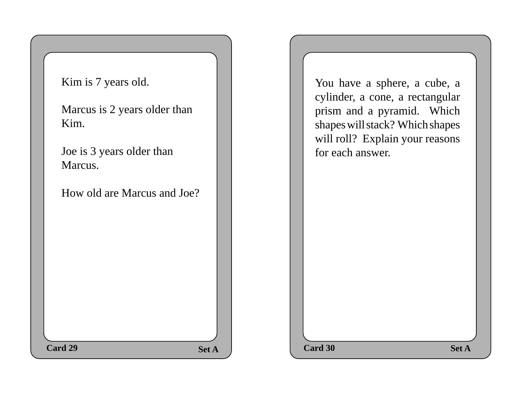| <b>Set A</b> | Kim is 7 years old.<br>Marcus is 2 years older than<br>Kim.<br>Joe is 3 years older than<br>Marcus.<br>How old are Marcus and Joe?<br>Card 29 | You have a sphere, a cube, a<br>cylinder, a cone, a rectangular<br>prism and a pyramid. Which<br>shapes will stack? Which shapes<br>will roll? Explain your reasons<br>for each answer.<br>Card 30<br><b>Set A</b> |
|--------------|-----------------------------------------------------------------------------------------------------------------------------------------------|--------------------------------------------------------------------------------------------------------------------------------------------------------------------------------------------------------------------|
|--------------|-----------------------------------------------------------------------------------------------------------------------------------------------|--------------------------------------------------------------------------------------------------------------------------------------------------------------------------------------------------------------------|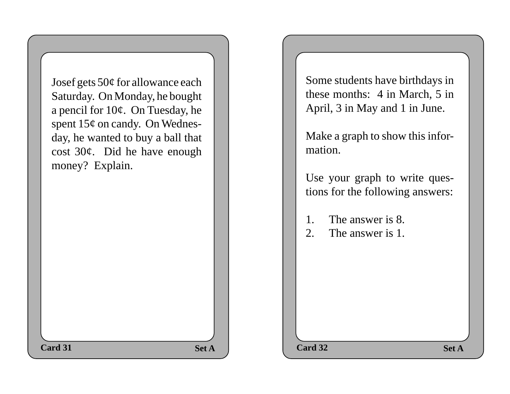Josef gets 50¢ for allowance each Saturday. On Monday, he bought a pencil for 10¢. On Tuesday, he spent  $15¢$  on candy. On Wednesday, he wanted to buy a ball that cost 30¢. Did he have enough money? Explain.

Some students have birthdays in these months: 4 in March, 5 in April, 3 in May and 1 in June.

Make a graph to show this information.

Use your graph to write questions for the following answers:

- 1. The answer is 8.
- 2. The answer is 1.

**Set A**  $\qquad$  **Card 32** Set A

**Card 31 Card 32 Card 32**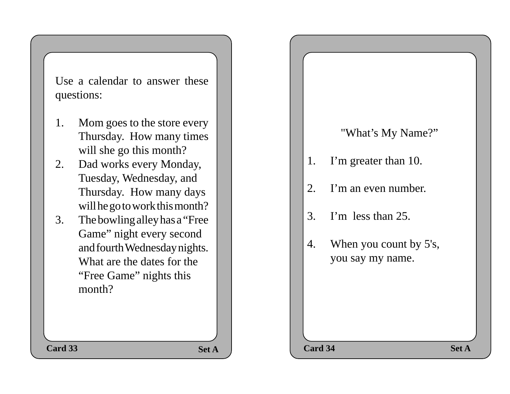Use a calendar to answer these questions:

- 1. Mom goes to the store every Thursday. How many times will she go this month?
- 2. Dad works every Monday, Tuesday, Wednesday, and Thursday. How many days will he go to work this month?
- 3. The bowling alley has a "Free Game" night every second and fourth Wednesday nights. What are the dates for the "Free Game" nights this month?

# **Set A Set A Card 34 Set A** "What's My Name?" 1. I'm greater than 10. 2. I'm an even number. 3. I'm less than 25. 4. When you count by 5's, you say my name. **Card 33 Card 34 Card 34**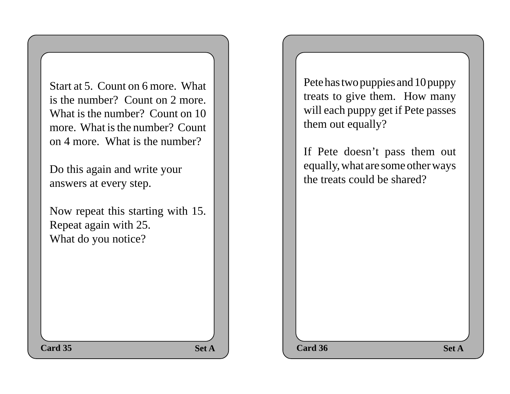Start at 5. Count on 6 more. What is the number? Count on 2 more. What is the number? Count on 10 more. What is the number? Count on 4 more. What is the number?

Do this again and write your answers at every step.

Now repeat this starting with 15. Repeat again with 25. What do you notice?

Pete has two puppies and 10 puppy treats to give them. How many will each puppy get if Pete passes them out equally?

If Pete doesn't pass them out equally, what are some other ways the treats could be shared?

**Set A**  $\qquad$  **Card 36** Set A **Card 35 Card 36 Card 36**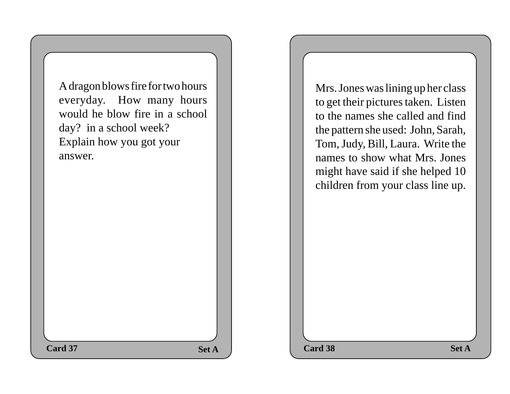| A dragon blows fire for two hours<br>everyday. How many hours<br>would he blow fire in a school<br>day? in a school week?<br>Explain how you got your<br>answer. | Mrs. Jones was lining up her class<br>to get their pictures taken. Listen<br>to the names she called and find<br>the pattern she used: John, Sarah,<br>Tom, Judy, Bill, Laura. Write the<br>names to show what Mrs. Jones<br>might have said if she helped 10<br>children from your class line up. |              |
|------------------------------------------------------------------------------------------------------------------------------------------------------------------|----------------------------------------------------------------------------------------------------------------------------------------------------------------------------------------------------------------------------------------------------------------------------------------------------|--------------|
| Card 37<br><b>Set A</b>                                                                                                                                          | Card 38                                                                                                                                                                                                                                                                                            | <b>Set A</b> |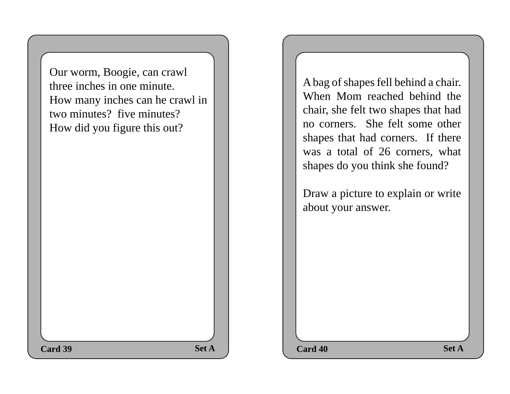Our worm, Boogie, can crawl three inches in one minute. How many inches can he crawl in two minutes? five minutes? How did you figure this out?

A bag of shapes fell behind a chair. When Mom reached behind the chair, she felt two shapes that had no corners. She felt some other shapes that had corners. If there was a total of 26 corners, what shapes do you think she found?

Draw a picture to explain or write about your answer.

Set A Set A Set A **Card 39 Card 40 Card 40**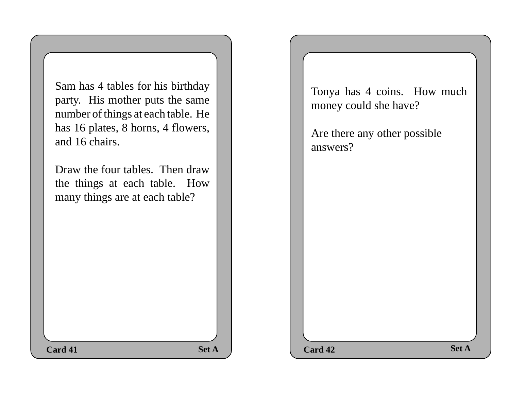Sam has 4 tables for his birthday party. His mother puts the same number of things at each table. He has 16 plates, 8 horns, 4 flowers, and 16 chairs.

Draw the four tables. Then draw the things at each table. How many things are at each table?

Tonya has 4 coins. How much money could she have?

Are there any other possible answers?

**Set A Set A Card 42 Set A Card 41 Card 42 Card 42**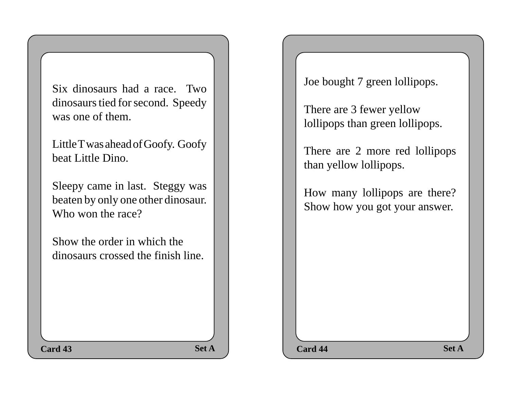Six dinosaurs had a race. Two dinosaurs tied for second. Speedy was one of them.

Little T was ahead of Goofy. Goofy beat Little Dino.

Sleepy came in last. Steggy was beaten by only one other dinosaur. Who won the race?

Show the order in which the dinosaurs crossed the finish line. Joe bought 7 green lollipops.

There are 3 fewer yellow lollipops than green lollipops.

There are 2 more red lollipops than yellow lollipops.

How many lollipops are there? Show how you got your answer.

Set A Set A Set A

**Card 43 Card 44 Card 44 Card 44**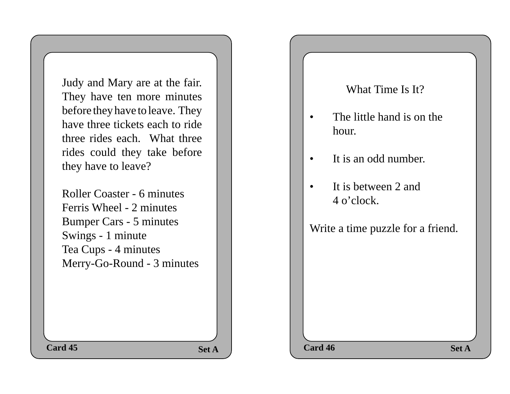Judy and Mary are at the fair. They have ten more minutes before they have to leave. They have three tickets each to ride three rides each. What three rides could they take before they have to leave?

Roller Coaster - 6 minutes Ferris Wheel - 2 minutes Bumper Cars - 5 minutes Swings - 1 minute Tea Cups - 4 minutes Merry-Go-Round - 3 minutes What Time Is It?

- The little hand is on the hour.
- It is an odd number.
- It is between 2 and 4 o'clock.

Write a time puzzle for a friend.

**Set A Set A Card 46 Set A Card 45 Card 46 Card 46 Card 46**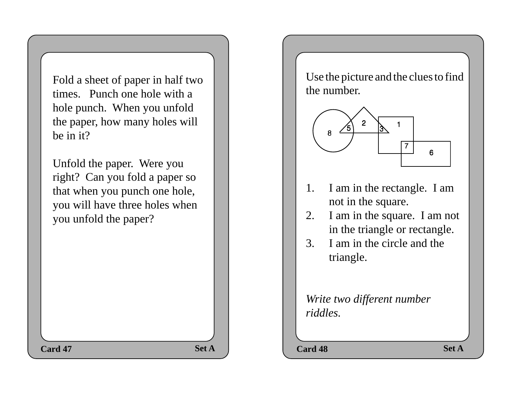Fold a sheet of paper in half two times. Punch one hole with a hole punch. When you unfold the paper, how many holes will be in it?

Unfold the paper. Were you right? Can you fold a paper so that when you punch one hole, you will have three holes when you unfold the paper?

Use the picture and the clues to find the number.



- 1. I am in the rectangle. I am not in the square.
- 2. I am in the square. I am not in the triangle or rectangle.
- 3. I am in the circle and the triangle.

*Write two different number riddles.*

Set A Set A Set A **Card 47 Card 48 Card 48**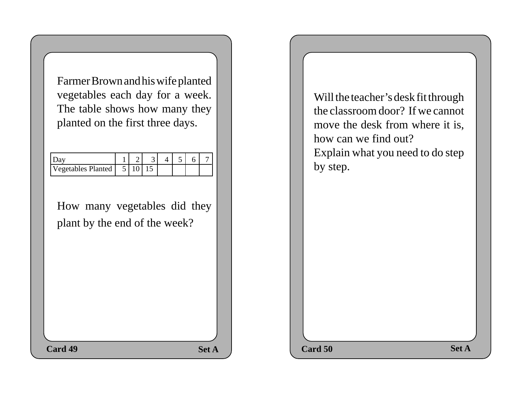Farmer Brown and his wife planted vegetables each day for a week. The table shows how many they planted on the first three days.

| Vegetables Planted |  |  |  |  |
|--------------------|--|--|--|--|

How many vegetables did they plant by the end of the week?

Will the teacher's desk fit through the classroom door? If we cannot move the desk from where it is, how can we find out? Explain what you need to do step by step.

**Set A Set A Card 50 Set A Card 49 Card 50 Card 50**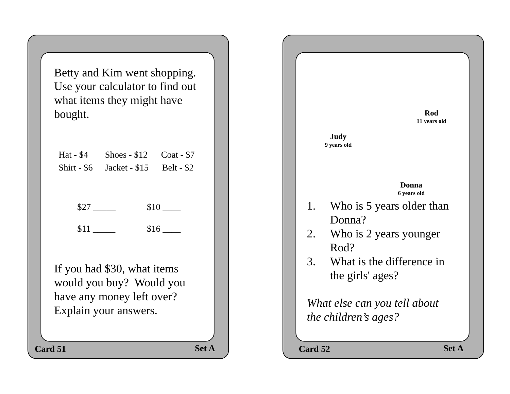Betty and Kim went shopping. Use your calculator to find out what items they might have bought.

| Hat $-$ \$4 Shoes $-$ \$12 Coat $-$ \$7 |  |
|-----------------------------------------|--|
| Shirt - $$6$ Jacket - $$15$ Belt - $$2$ |  |

 $$27 \_\_\_\_$  \$10  $\_\_\_\$ 

 $$11$   $$16$ 

If you had \$30, what items would you buy? Would you have any money left over? Explain your answers.

Set A Set A Set A 1. Who is 5 years older than Donna? 2. Who is 2 years younger Rod? 3. What is the difference in the girls' ages? *What else can you tell about the children's ages?* **Card 51 Card 52 Card 52 Rod 11 years old Donna 6 years old Judy 9 years old**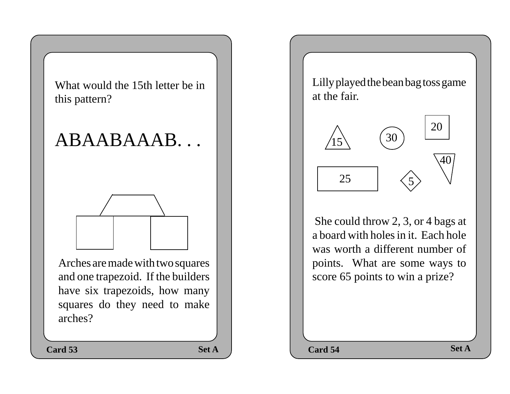What would the 15th letter be in this pattern?

## ABAABAAAB. . .



Arches are made with two squares and one trapezoid. If the builders have six trapezoids, how many squares do they need to make arches?

**Card 53 Card 54 Card 54 Card 54** 

Lilly played the bean bag toss game at the fair.



 She could throw 2, 3, or 4 bags at a board with holes in it. Each hole was worth a different number of points. What are some ways to score 65 points to win a prize?

**Set A Set A Card 54 Set A**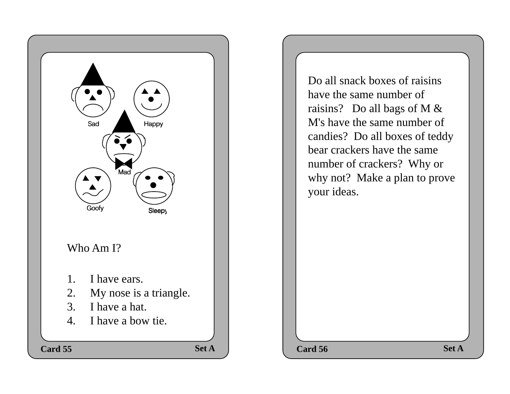

Do all snack boxes of raisins have the same number of raisins? Do all bags of M & M's have the same number of candies? Do all boxes of teddy bear crackers have the same number of crackers? Why or why not? Make a plan to prove your ideas.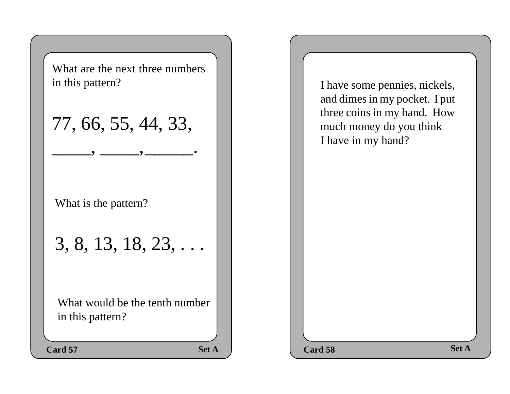

I have some pennies, nickels, and dimes in my pocket. I put three coins in my hand. How much money do you think I have in my hand?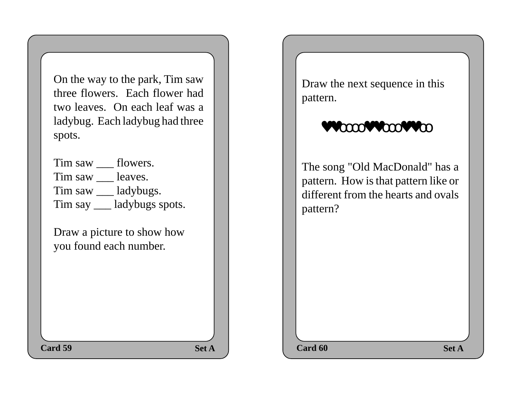On the way to the park, Tim saw three flowers. Each flower had two leaves. On each leaf was a ladybug. Each ladybug had three spots.

Tim saw \_\_\_ flowers. Tim saw leaves. Tim saw \_\_\_ ladybugs. Tim say \_\_\_ ladybugs spots.

Draw a picture to show how you found each number.

Draw the next sequence in this pattern.

### ♥♥οοοο♥♥οοο♥♥οο

The song "Old MacDonald" has a pattern. How is that pattern like or different from the hearts and ovals pattern?

**Set A**  $\qquad$  **Card 60** Set A **Card 59 Card 60 Card 60**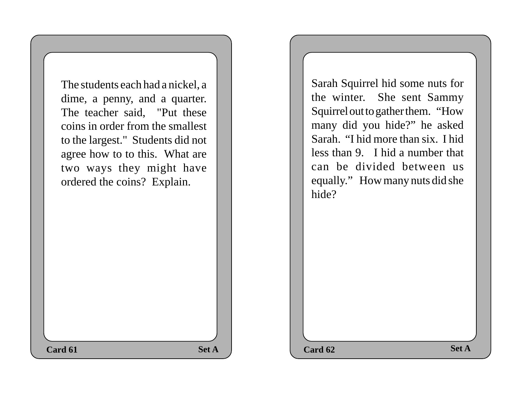The students each had a nickel, a dime, a penny, and a quarter. The teacher said, "Put these coins in order from the smallest to the largest." Students did not agree how to to this. What are two ways they might have ordered the coins? Explain.

Sarah Squirrel hid some nuts for the winter. She sent Sammy Squirrel out to gather them. "How many did you hide?" he asked Sarah. "I hid more than six. I hid less than 9. I hid a number that can be divided between us equally." How many nuts did she hide?

 $\text{Set A}$  **Card 62 Set A Card 61 Card 62 Card 62**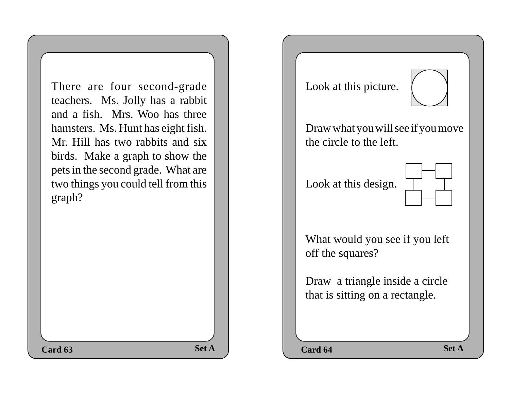There are four second-grade teachers. Ms. Jolly has a rabbit and a fish. Mrs. Woo has three hamsters. Ms. Hunt has eight fish. Mr. Hill has two rabbits and six birds. Make a graph to show the pets in the second grade. What are two things you could tell from this graph?

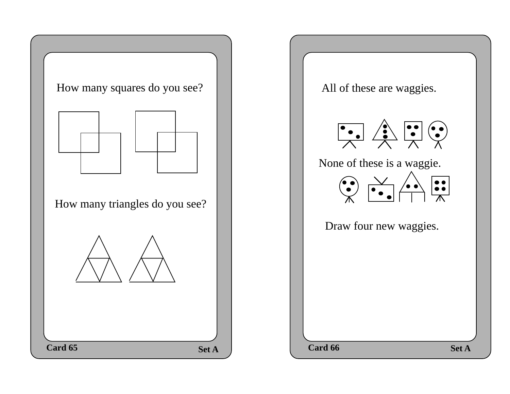